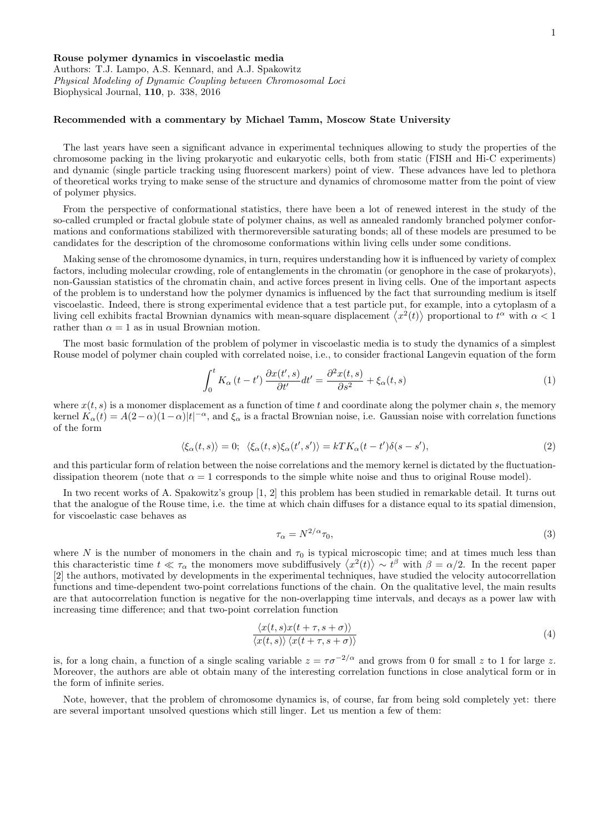Rouse polymer dynamics in viscoelastic media Authors: T.J. Lampo, A.S. Kennard, and A.J. Spakowitz Physical Modeling of Dynamic Coupling between Chromosomal Loci Biophysical Journal, 110, p. 338, 2016

## Recommended with a commentary by Michael Tamm, Moscow State University

The last years have seen a significant advance in experimental techniques allowing to study the properties of the chromosome packing in the living prokaryotic and eukaryotic cells, both from static (FISH and Hi-C experiments) and dynamic (single particle tracking using fluorescent markers) point of view. These advances have led to plethora of theoretical works trying to make sense of the structure and dynamics of chromosome matter from the point of view of polymer physics.

From the perspective of conformational statistics, there have been a lot of renewed interest in the study of the so-called crumpled or fractal globule state of polymer chains, as well as annealed randomly branched polymer conformations and conformations stabilized with thermoreversible saturating bonds; all of these models are presumed to be candidates for the description of the chromosome conformations within living cells under some conditions.

Making sense of the chromosome dynamics, in turn, requires understanding how it is influenced by variety of complex factors, including molecular crowding, role of entanglements in the chromatin (or genophore in the case of prokaryots), non-Gaussian statistics of the chromatin chain, and active forces present in living cells. One of the important aspects of the problem is to understand how the polymer dynamics is influenced by the fact that surrounding medium is itself viscoelastic. Indeed, there is strong experimental evidence that a test particle put, for example, into a cytoplasm of a living cell exhibits fractal Brownian dynamics with mean-square displacement  $\langle x^2(t) \rangle$  proportional to  $t^{\alpha}$  with  $\alpha < 1$ rather than  $\alpha = 1$  as in usual Brownian motion.

The most basic formulation of the problem of polymer in viscoelastic media is to study the dynamics of a simplest Rouse model of polymer chain coupled with correlated noise, i.e., to consider fractional Langevin equation of the form

$$
\int_0^t K_\alpha(t - t') \frac{\partial x(t', s)}{\partial t'} dt' = \frac{\partial^2 x(t, s)}{\partial s^2} + \xi_\alpha(t, s)
$$
\n(1)

where  $x(t, s)$  is a monomer displacement as a function of time t and coordinate along the polymer chain s, the memory kernel  $K_{\alpha}(t) = A(2-\alpha)(1-\alpha)|t|^{-\alpha}$ , and  $\xi_{\alpha}$  is a fractal Brownian noise, i.e. Gaussian noise with correlation functions of the form

$$
\langle \xi_{\alpha}(t,s) \rangle = 0; \ \langle \xi_{\alpha}(t,s) \xi_{\alpha}(t',s') \rangle = kT K_{\alpha}(t-t') \delta(s-s'), \tag{2}
$$

and this particular form of relation between the noise correlations and the memory kernel is dictated by the fluctuationdissipation theorem (note that  $\alpha = 1$  corresponds to the simple white noise and thus to original Rouse model).

In two recent works of A. Spakowitz's group [1, 2] this problem has been studied in remarkable detail. It turns out that the analogue of the Rouse time, i.e. the time at which chain diffuses for a distance equal to its spatial dimension, for viscoelastic case behaves as

$$
\tau_{\alpha} = N^{2/\alpha} \tau_0,\tag{3}
$$

where N is the number of monomers in the chain and  $\tau_0$  is typical microscopic time; and at times much less than this characteristic time  $t \ll \tau_{\alpha}$  the monomers move subdiffusively  $\langle x^2(t) \rangle \sim t^{\beta}$  with  $\beta = \alpha/2$ . In the recent paper [2] the authors, motivated by developments in the experimental techniques, have studied the velocity autocorrellation functions and time-dependent two-point correlations functions of the chain. On the qualitative level, the main results are that autocorrelation function is negative for the non-overlapping time intervals, and decays as a power law with increasing time difference; and that two-point correlation function

$$
\frac{\langle x(t,s)x(t+\tau,s+\sigma) \rangle}{\langle x(t,s) \rangle \langle x(t+\tau,s+\sigma) \rangle}
$$
\n(4)

is, for a long chain, a function of a single scaling variable  $z = \tau \sigma^{-2/\alpha}$  and grows from 0 for small z to 1 for large z. Moreover, the authors are able ot obtain many of the interesting correlation functions in close analytical form or in the form of infinite series.

Note, however, that the problem of chromosome dynamics is, of course, far from being sold completely yet: there are several important unsolved questions which still linger. Let us mention a few of them: